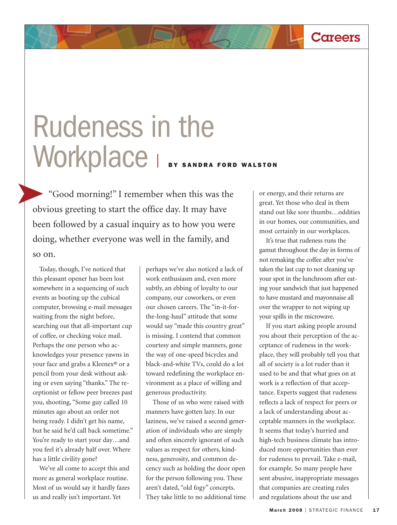## Rudeness in the Workplace | BY SANDRA FORD WALSTON

"Good morning!" I remember when this was the obvious greeting to start the office day. It may have been followed by a casual inquiry as to how you were doing, whether everyone was well in the family, and so on.

Today, though, I've noticed that this pleasant opener has been lost somewhere in a sequencing of such events as booting up the cubical computer, browsing e-mail messages waiting from the night before, searching out that all-important cup of coffee, or checking voice mail. Perhaps the one person who acknowledges your presence yawns in your face and grabs a Kleenex® or a pencil from your desk without asking or even saying "thanks." The receptionist or fellow peer breezes past you, shooting, "Some guy called 10 minutes ago about an order not being ready. I didn't get his name, but he said he'd call back sometime." You're ready to start your day…and you feel it's already half over. Where has a little civility gone?

We've all come to accept this and more as general workplace routine. Most of us would say it hardly fazes us and really isn't important. Yet

perhaps we've also noticed a lack of work enthusiasm and, even more subtly, an ebbing of loyalty to our company, our coworkers, or even our chosen careers. The "in-it-forthe-long-haul" attitude that some would say "made this country great" is missing. I contend that common courtesy and simple manners, gone the way of one-speed bicycles and black-and-white TVs, could do a lot toward redefining the workplace environment as a place of willing and generous productivity.

Those of us who were raised with manners have gotten lazy. In our laziness, we've raised a second generation of individuals who are simply and often sincerely ignorant of such values as respect for others, kindness, generosity, and common decency such as holding the door open for the person following you. These aren't dated, "old fogy" concepts. They take little to no additional time or energy, and their returns are great. Yet those who deal in them stand out like sore thumbs…oddities in our homes, our communities, and most certainly in our workplaces.

**Careers**

It's true that rudeness runs the gamut throughout the day in forms of not remaking the coffee after you've taken the last cup to not cleaning up your spot in the lunchroom after eating your sandwich that just happened to have mustard and mayonnaise all over the wrapper to not wiping up your spills in the microwave.

If you start asking people around you about their perception of the acceptance of rudeness in the workplace, they will probably tell you that all of society is a lot ruder than it used to be and that what goes on at work is a reflection of that acceptance. Experts suggest that rudeness reflects a lack of respect for peers or a lack of understanding about acceptable manners in the workplace. It seems that today's hurried and high-tech business climate has introduced more opportunities than ever for rudeness to prevail. Take e-mail, for example. So many people have sent abusive, inappropriate messages that companies are creating rules and regulations about the use and